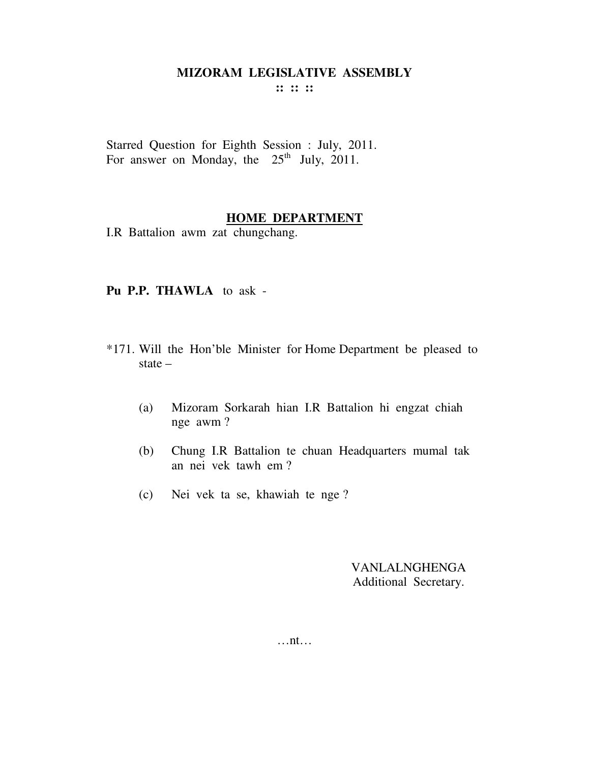**:: :: ::** 

Starred Question for Eighth Session : July, 2011. For answer on Monday, the  $25<sup>th</sup>$  July, 2011.

## **HOME DEPARTMENT**

I.R Battalion awm zat chungchang.

#### **Pu P.P. THAWLA** to ask -

- \*171. Will the Hon'ble Minister for Home Department be pleased to state –
	- (a) Mizoram Sorkarah hian I.R Battalion hi engzat chiah nge awm ?
	- (b) Chung I.R Battalion te chuan Headquarters mumal tak an nei vek tawh em ?
	- (c) Nei vek ta se, khawiah te nge ?

VANLALNGHENGA Additional Secretary.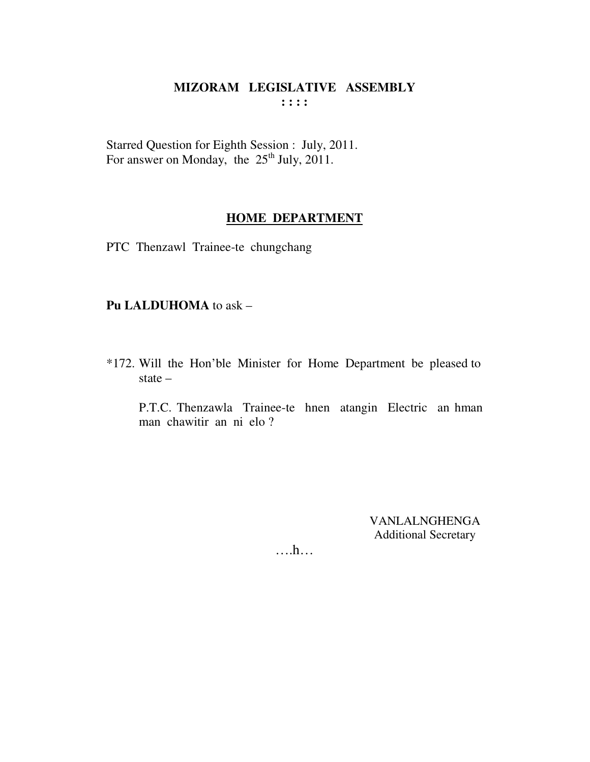Starred Question for Eighth Session : July, 2011. For answer on Monday, the  $25<sup>th</sup>$  July, 2011.

## **HOME DEPARTMENT**

PTC Thenzawl Trainee-te chungchang

#### **Pu LALDUHOMA** to ask –

\*172. Will the Hon'ble Minister for Home Department be pleased to state –

 P.T.C. Thenzawla Trainee-te hnen atangin Electric an hman man chawitir an ni elo ?

> VANLALNGHENGA Additional Secretary

….h…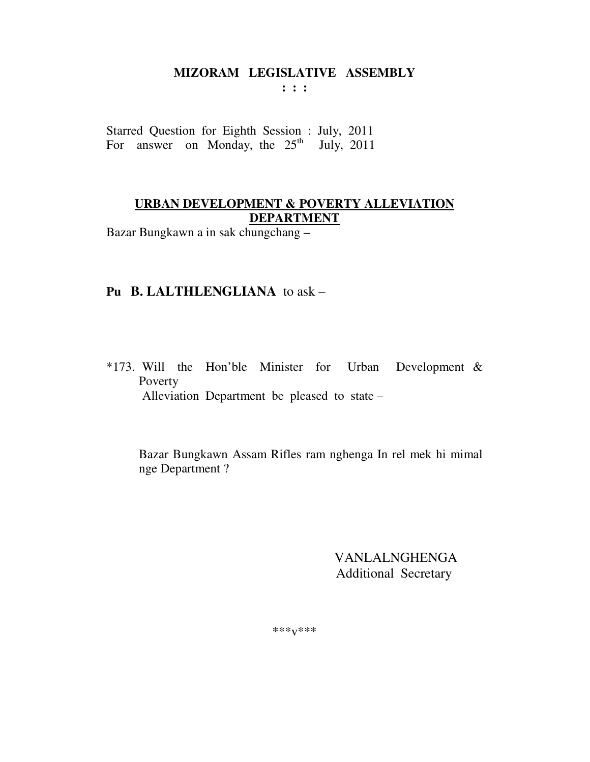$: : :$ 

Starred Question for Eighth Session : July, 2011 For answer on Monday, the  $25<sup>th</sup>$  July, 2011

## URBAN DEVELOPMENT & POVERTY ALLEVIATION **DEPARTMENT**

Bazar Bungkawn a in sak chungchang -

### Pu B. LALTHLENGLIANA to ask -

\*173. Will the Hon'ble Minister for Urban Development  $\&$ Poverty Alleviation Department be pleased to state -

Bazar Bungkawn Assam Rifles ram nghenga In rel mek hi mimal nge Department?

> **VANLALNGHENGA Additional Secretary**

\*\*\*<sub>V</sub>\*\*\*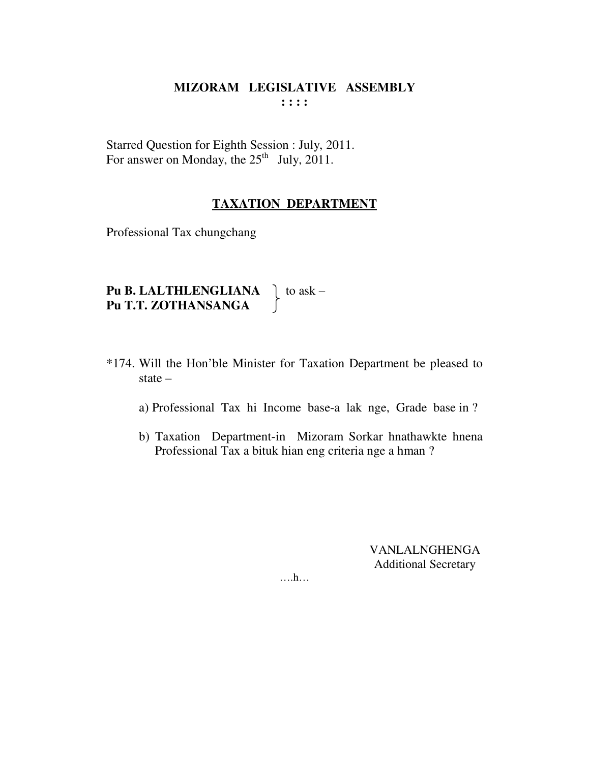Starred Question for Eighth Session : July, 2011. For answer on Monday, the  $25<sup>th</sup>$  July, 2011.

#### **TAXATION DEPARTMENT**

Professional Tax chungchang

| Pu B. LALTHLENGLIANA | $\log$ to ask – |
|----------------------|-----------------|
| Pu T.T. ZOTHANSANGA  |                 |

- \*174. Will the Hon'ble Minister for Taxation Department be pleased to state  $$ 
	- a) Professional Tax hi Income base-a lak nge, Grade base in ?
	- b) Taxation Department-in Mizoram Sorkar hnathawkte hnena Professional Tax a bituk hian eng criteria nge a hman?

**VANLALNGHENGA Additional Secretary** 

 $\dots$ ...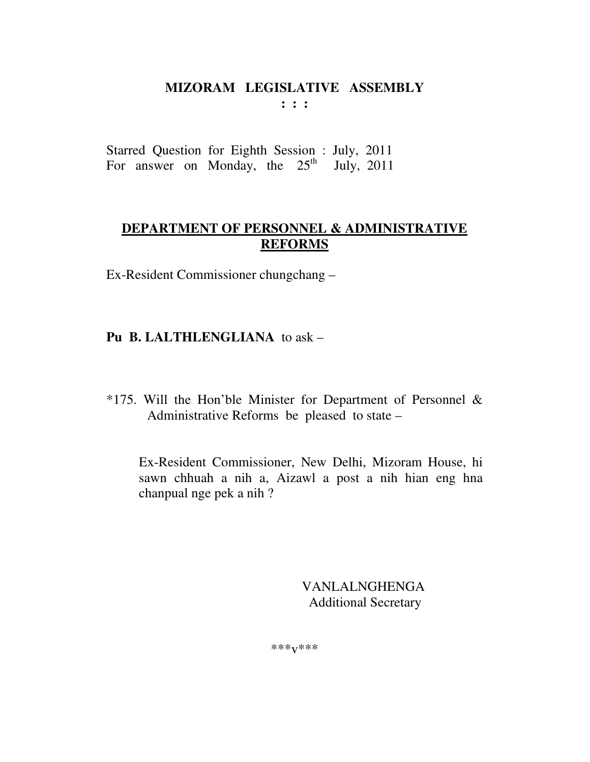**: : :** 

Starred Question for Eighth Session : July, 2011 For answer on Monday, the  $25<sup>th</sup>$  July, 2011

# **DEPARTMENT OF PERSONNEL & ADMINISTRATIVE REFORMS**

Ex-Resident Commissioner chungchang –

# **Pu B. LALTHLENGLIANA** to ask –

\*175. Will the Hon'ble Minister for Department of Personnel & Administrative Reforms be pleased to state –

 Ex-Resident Commissioner, New Delhi, Mizoram House, hi sawn chhuah a nih a, Aizawl a post a nih hian eng hna chanpual nge pek a nih ?

> VANLALNGHENGA Additional Secretary

\*\*\*v\*\*\*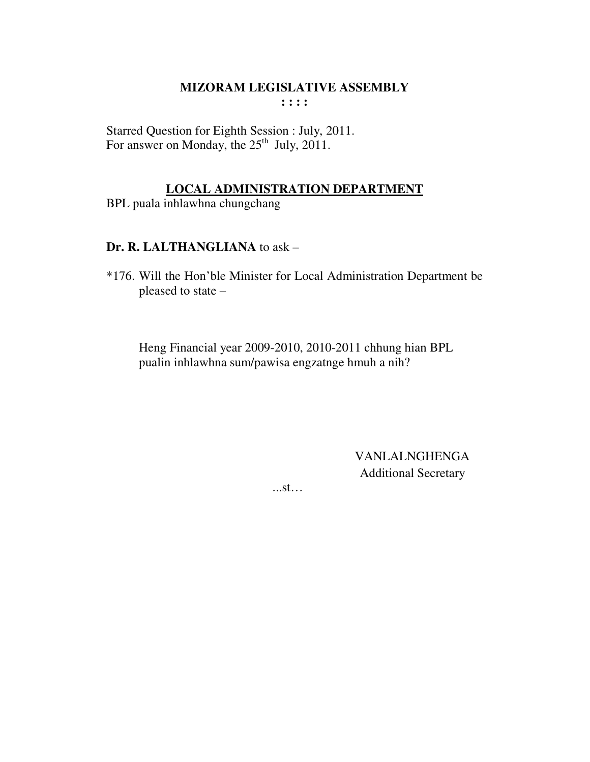Starred Question for Eighth Session : July, 2011. For answer on Monday, the  $25<sup>th</sup>$  July, 2011.

## **LOCAL ADMINISTRATION DEPARTMENT**

BPL puala inhlawhna chungchang

## Dr. R. LALTHANGLIANA to ask -

\*176. Will the Hon'ble Minister for Local Administration Department be pleased to state -

Heng Financial year 2009-2010, 2010-2011 chhung hian BPL pualin inhlawhna sum/pawisa engzatnge hmuh a nih?

> **VANLALNGHENGA Additional Secretary**

 $...st...$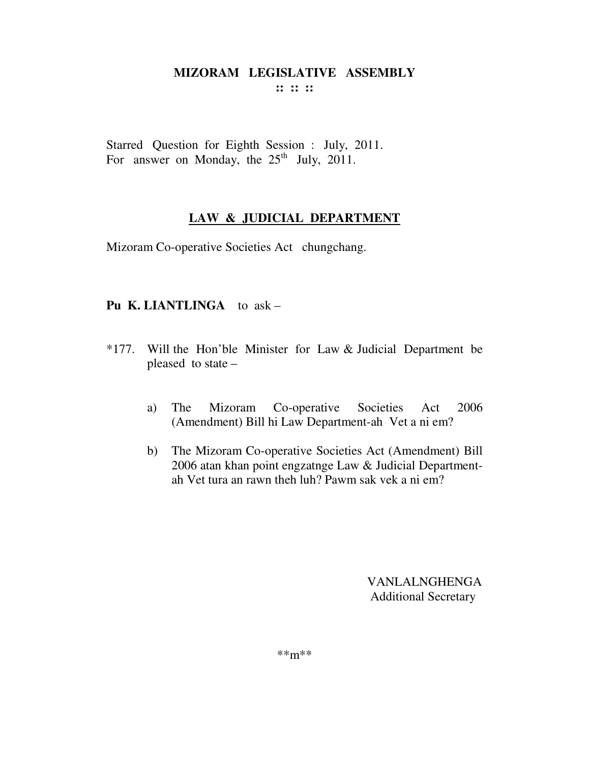:: :: ::

Starred Question for Eighth Session : July, 2011. For answer on Monday, the  $25<sup>th</sup>$  July, 2011.

# LAW & JUDICIAL DEPARTMENT

Mizoram Co-operative Societies Act chungchang.

# Pu K. LIANTLINGA to ask -

- \*177. Will the Hon'ble Minister for Law & Judicial Department be pleased to state –
	- The Mizoram Co-operative Societies Act 2006 a) (Amendment) Bill hi Law Department-ah Vet a ni em?
	- b) The Mizoram Co-operative Societies Act (Amendment) Bill 2006 atan khan point engzatnge Law & Judicial Departmentah Vet tura an rawn theh luh? Pawm sak vek a ni em?

VANLALNGHENGA **Additional Secretary** 

 $***m***$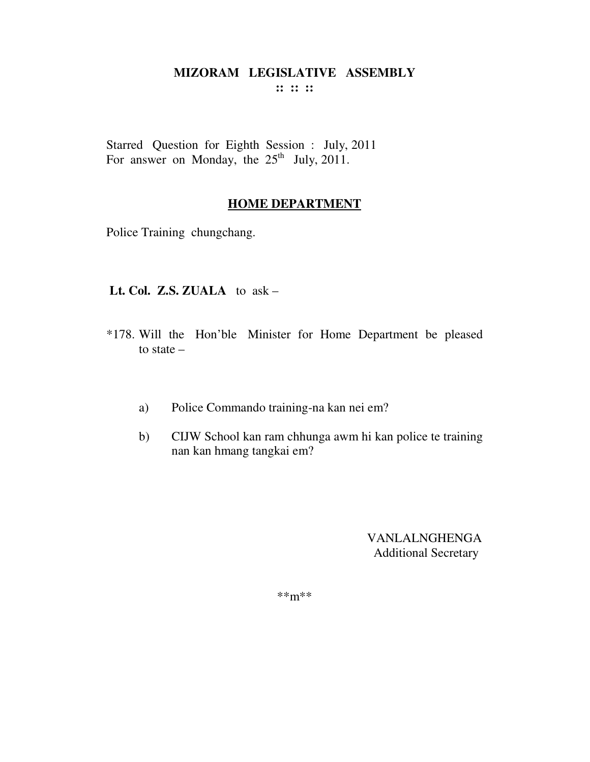**:: :: ::** 

Starred Question for Eighth Session : July, 2011 For answer on Monday, the  $25<sup>th</sup>$  July, 2011.

## **HOME DEPARTMENT**

Police Training chungchang.

 **Lt. Col. Z.S. ZUALA** to ask –

- \*178. Will the Hon'ble Minister for Home Department be pleased to state –
	- a) Police Commando training-na kan nei em?
	- b) CIJW School kan ram chhunga awm hi kan police te training nan kan hmang tangkai em?

VANLALNGHENGA Additional Secretary

\*\*m\*\*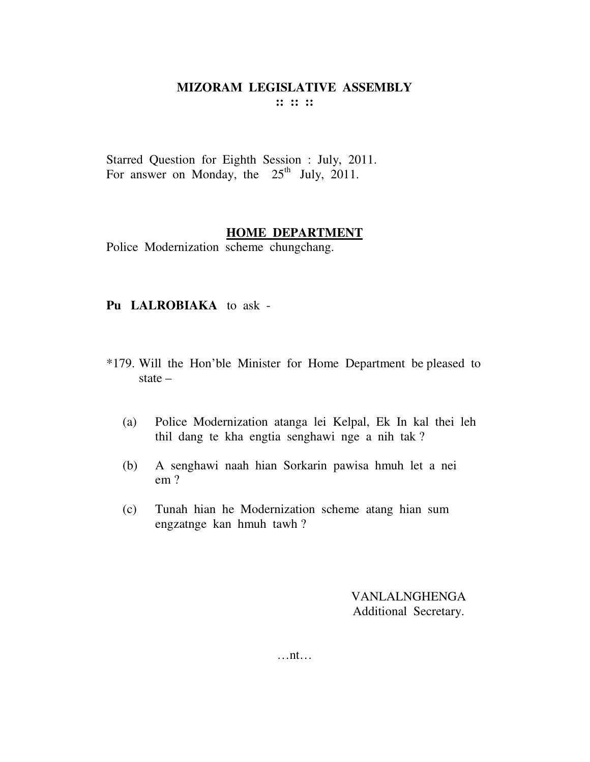Starred Question for Eighth Session : July, 2011. For answer on Monday, the  $25<sup>th</sup>$  July, 2011.

#### **HOME DEPARTMENT**

Police Modernization scheme chungchang.

#### **Pu LALROBIAKA** to ask -

- \*179. Will the Hon'ble Minister for Home Department be pleased to state –
	- (a) Police Modernization atanga lei Kelpal, Ek In kal thei leh thil dang te kha engtia senghawi nge a nih tak ?
	- (b) A senghawi naah hian Sorkarin pawisa hmuh let a nei em ?
	- (c) Tunah hian he Modernization scheme atang hian sum engzatnge kan hmuh tawh ?

VANLALNGHENGA Additional Secretary.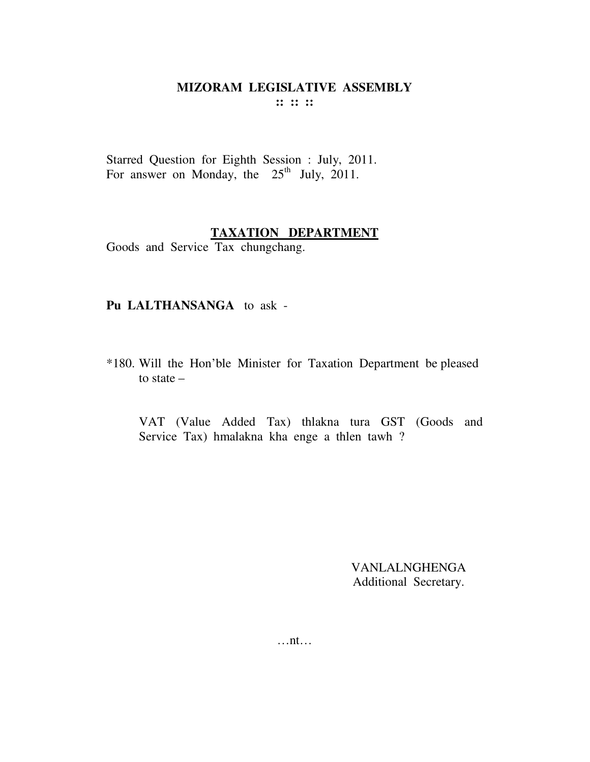Starred Question for Eighth Session : July, 2011. For answer on Monday, the  $25<sup>th</sup>$  July, 2011.

#### **TAXATION DEPARTMENT**

Goods and Service Tax chungchang.

#### Pu LALTHANSANGA to ask -

\*180. Will the Hon'ble Minister for Taxation Department be pleased to state  $-$ 

VAT (Value Added Tax) thlakna tura GST (Goods and Service Tax) hmalakna kha enge a thlen tawh?

> **VANLALNGHENGA** Additional Secretary.

 $\dots$ nt $\dots$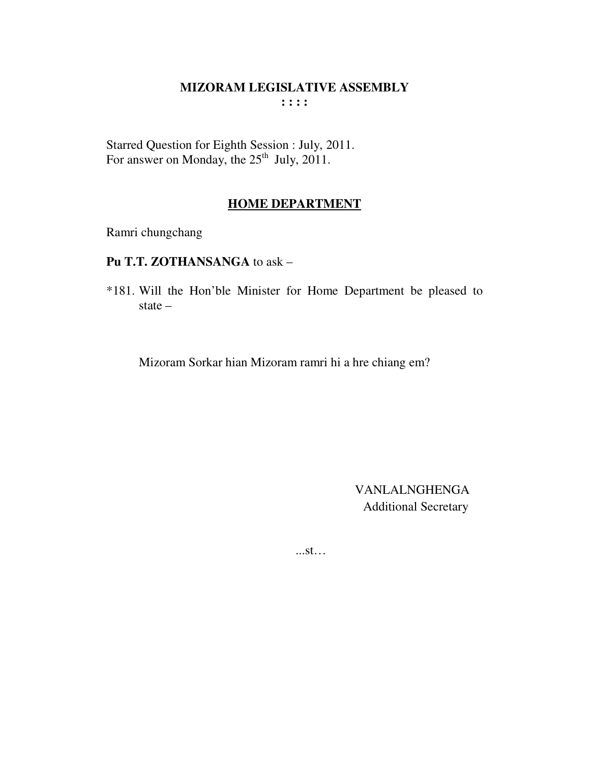Starred Question for Eighth Session : July, 2011.<br>For answer on Monday, the 25<sup>th</sup> July, 2011.

## **HOME DEPARTMENT**

Ramri chungchang

# Pu T.T. ZOTHANSANGA to ask -

\*181. Will the Hon'ble Minister for Home Department be pleased to state  $-$ 

Mizoram Sorkar hian Mizoram ramri hi a hre chiang em?

**VANLALNGHENGA Additional Secretary** 

 $...st...$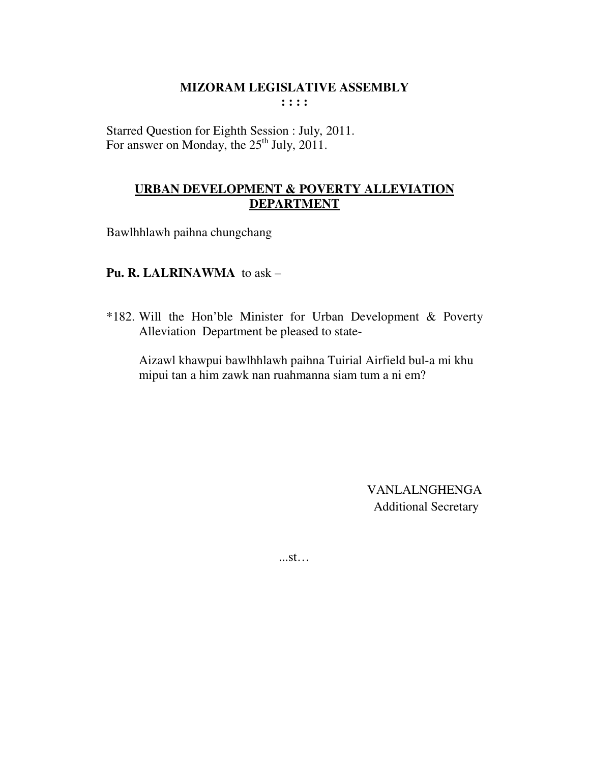Starred Question for Eighth Session : July, 2011. For answer on Monday, the  $25<sup>th</sup>$  July,  $2011$ .

## **URBAN DEVELOPMENT & POVERTY ALLEVIATION DEPARTMENT**

Bawlhhlawh paihna chungchang

## **Pu. R. LALRINAWMA** to ask –

\*182. Will the Hon'ble Minister for Urban Development & Poverty Alleviation Department be pleased to state-

 Aizawl khawpui bawlhhlawh paihna Tuirial Airfield bul-a mi khu mipui tan a him zawk nan ruahmanna siam tum a ni em?

> VANLALNGHENGA Additional Secretary

...st…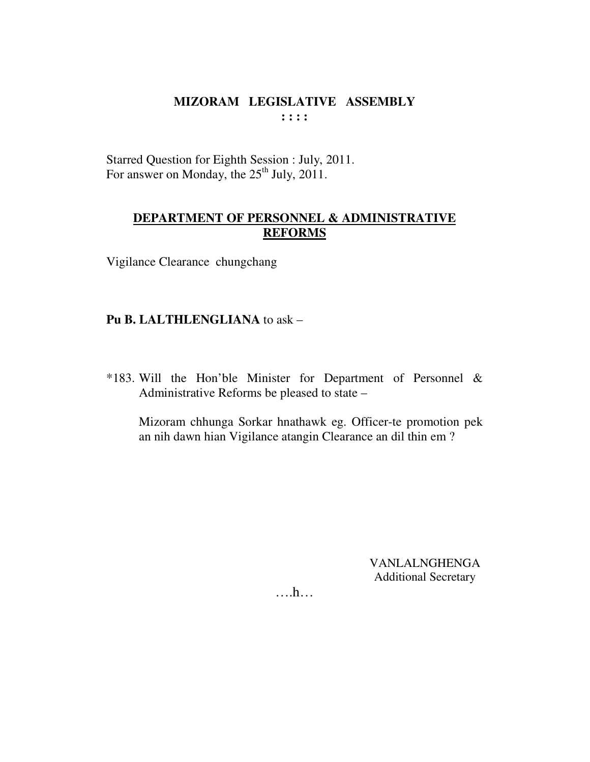Starred Question for Eighth Session : July, 2011. For answer on Monday, the 25<sup>th</sup> July, 2011.

## DEPARTMENT OF PERSONNEL & ADMINISTRATIVE **REFORMS**

Vigilance Clearance chungchang

## Pu B. LALTHLENGLIANA to ask -

\*183. Will the Hon'ble Minister for Department of Personnel & Administrative Reforms be pleased to state –

Mizoram chhunga Sorkar hnathawk eg. Officer-te promotion pek an nih dawn hian Vigilance atangin Clearance an dil thin em?

> **VANLALNGHENGA Additional Secretary**

 $\dots$ ...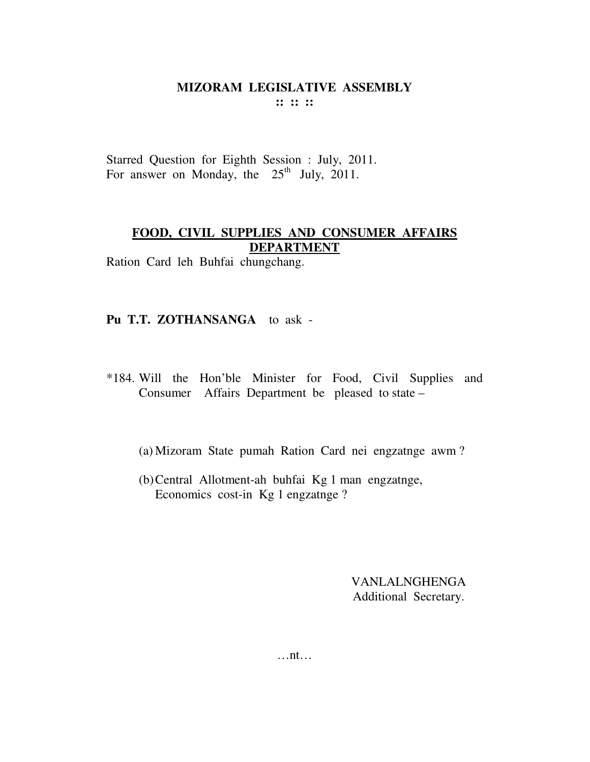Starred Question for Eighth Session : July, 2011. For answer on Monday, the  $25<sup>th</sup>$  July, 2011.

## **FOOD, CIVIL SUPPLIES AND CONSUMER AFFAIRS DEPARTMENT**

Ration Card leh Buhfai chungchang.

## **Pu T.T. ZOTHANSANGA** to ask -

- \*184. Will the Hon'ble Minister for Food, Civil Supplies and Consumer Affairs Department be pleased to state –
	- (a) Mizoram State pumah Ration Card nei engzatnge awm ?
	- (b)Central Allotment-ah buhfai Kg 1 man engzatnge, Economics cost-in Kg 1 engzatnge ?

VANLALNGHENGA Additional Secretary.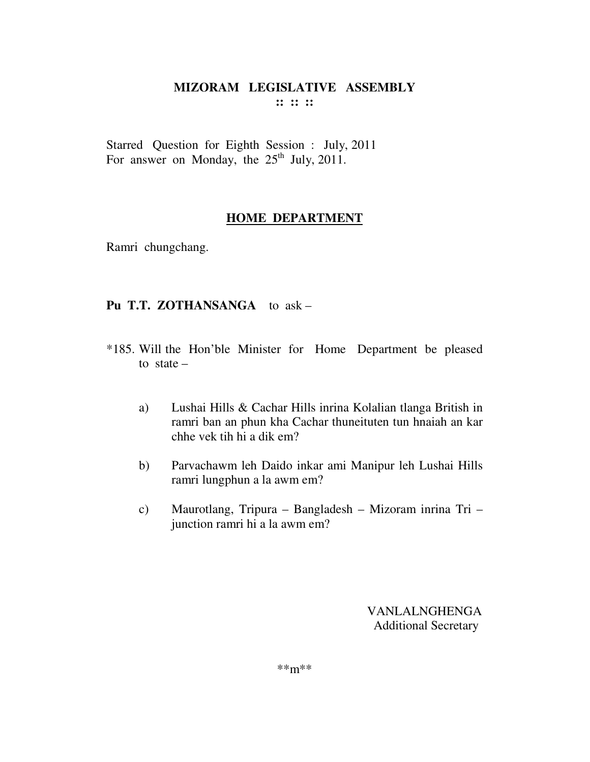Starred Question for Eighth Session : July, 2011 For answer on Monday, the  $25<sup>th</sup>$  July, 2011.

## **HOME DEPARTMENT**

Ramri chungchang.

## **Pu T.T. ZOTHANSANGA** to ask –

- \*185. Will the Hon'ble Minister for Home Department be pleased to state  $$ 
	- a) Lushai Hills & Cachar Hills inrina Kolalian tlanga British in ramri ban an phun kha Cachar thuneituten tun hnaiah an kar chhe vek tih hi a dik em?
	- b) Parvachawm leh Daido inkar ami Manipur leh Lushai Hills ramri lungphun a la awm em?
	- c) Maurotlang, Tripura Bangladesh Mizoram inrina Tri junction ramri hi a la awm em?

VANLALNGHENGA Additional Secretary

\*\*m\*\*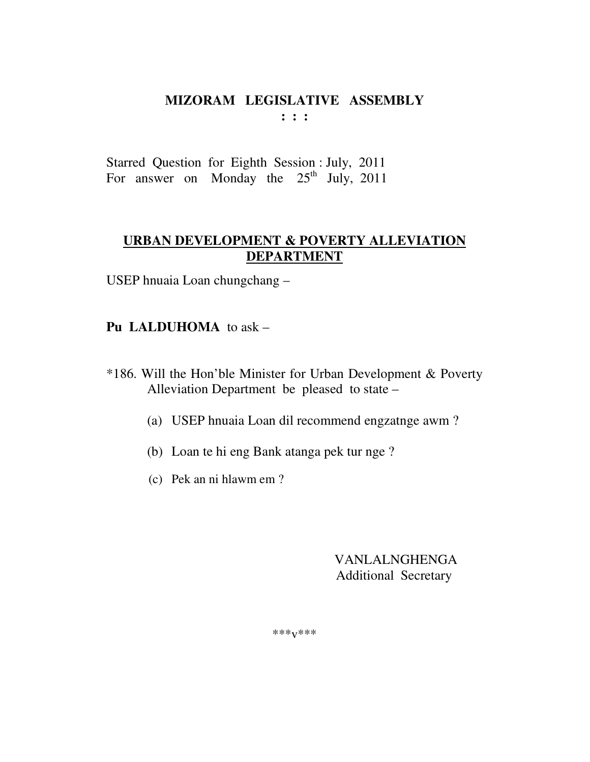$: : :$ 

Starred Question for Eighth Session : July, 2011 For answer on Monday the 25<sup>th</sup> July, 2011

# **URBAN DEVELOPMENT & POVERTY ALLEVIATION DEPARTMENT**

USEP hnuaia Loan chungchang -

**Pu LALDUHOMA** to ask  $-$ 

- \*186. Will the Hon'ble Minister for Urban Development & Poverty Alleviation Department be pleased to state –
	- (a) USEP hnuaia Loan dil recommend engzatnge awm?
	- (b) Loan te hi eng Bank atanga pek tur nge?
	- (c) Pek an ni hlawm em ?

**VANLALNGHENGA Additional Secretary** 

 $***V***$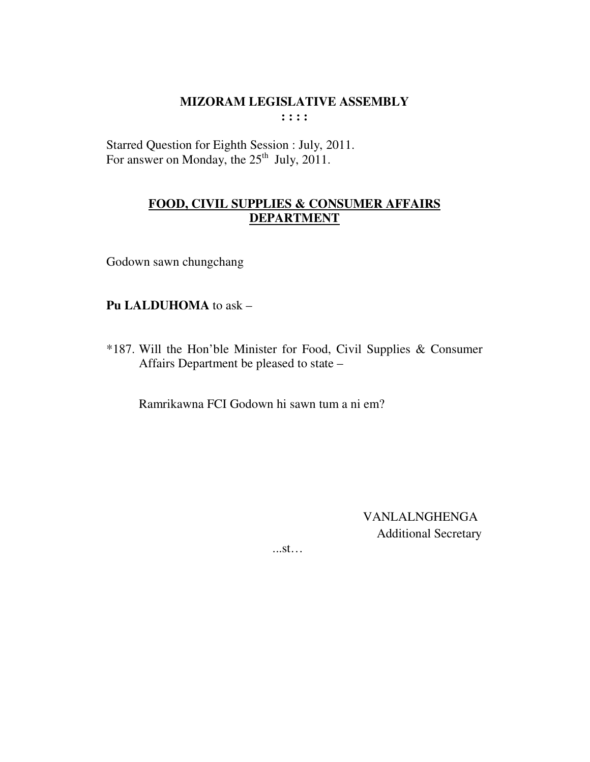Starred Question for Eighth Session : July, 2011.<br>For answer on Monday, the 25<sup>th</sup> July, 2011.

## FOOD, CIVIL SUPPLIES & CONSUMER AFFAIRS **DEPARTMENT**

Godown sawn chungchang

## Pu LALDUHOMA to ask -

\*187. Will the Hon'ble Minister for Food, Civil Supplies & Consumer Affairs Department be pleased to state -

Ramrikawna FCI Godown hi sawn tum a ni em?

**VANLALNGHENGA Additional Secretary** 

 $...st...$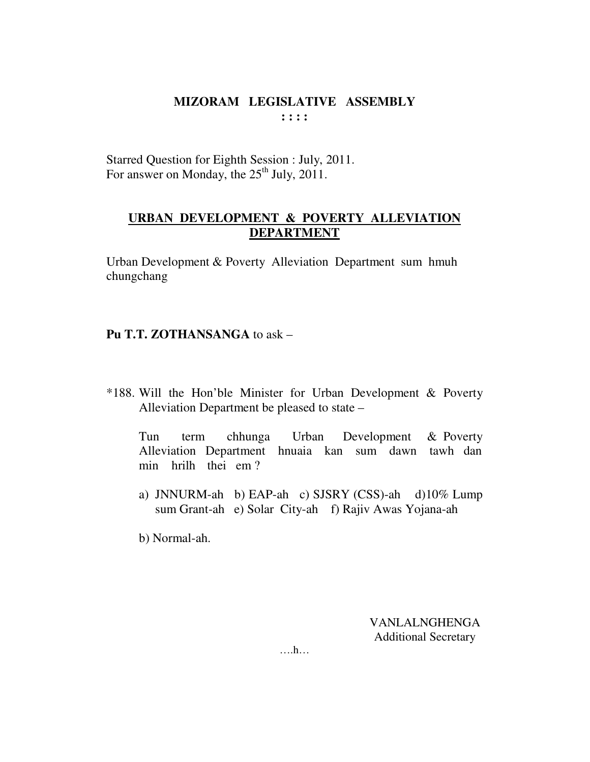Starred Question for Eighth Session : July, 2011. For answer on Monday, the  $25<sup>th</sup>$  July,  $2011$ .

# **URBAN DEVELOPMENT & POVERTY ALLEVIATION DEPARTMENT**

Urban Development & Poverty Alleviation Department sum hmuh chungchang

## **Pu T.T. ZOTHANSANGA** to ask –

\*188. Will the Hon'ble Minister for Urban Development & Poverty Alleviation Department be pleased to state –

 Tun term chhunga Urban Development & Poverty Alleviation Department hnuaia kan sum dawn tawh dan min hrilh thei em ?

a) JNNURM-ah b) EAP-ah c) SJSRY (CSS)-ah d)10% Lump sum Grant-ah e) Solar City-ah f) Rajiv Awas Yojana-ah

b) Normal-ah.

VANLALNGHENGA Additional Secretary

….h…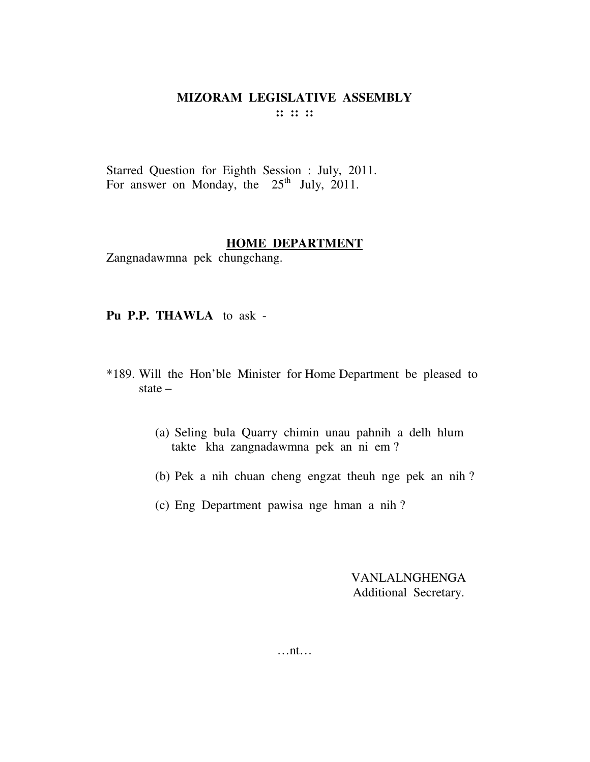Starred Question for Eighth Session : July, 2011. For answer on Monday, the  $25<sup>th</sup>$  July, 2011.

#### **HOME DEPARTMENT**

Zangnadawmna pek chungchang.

**Pu P.P. THAWLA** to ask -

- \*189. Will the Hon'ble Minister for Home Department be pleased to state –
	- (a) Seling bula Quarry chimin unau pahnih a delh hlum takte kha zangnadawmna pek an ni em ?
	- (b) Pek a nih chuan cheng engzat theuh nge pek an nih ?
	- (c) Eng Department pawisa nge hman a nih ?

VANLALNGHENGA Additional Secretary.